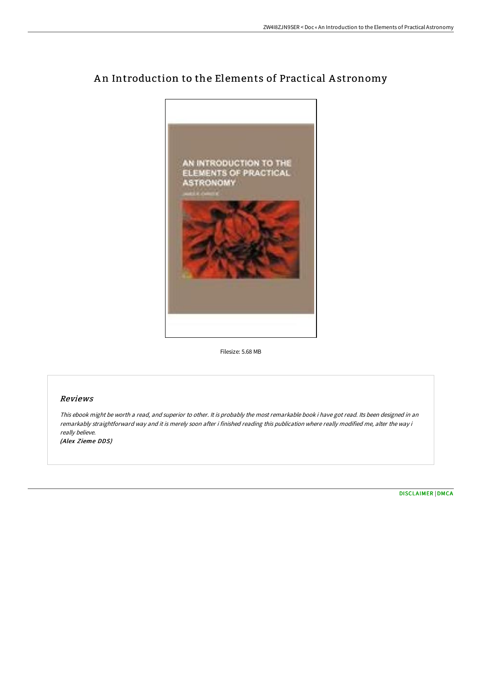

## An Introduction to the Elements of Practical Astronomy

Filesize: 5.68 MB

## Reviews

This ebook might be worth <sup>a</sup> read, and superior to other. It is probably the most remarkable book i have got read. Its been designed in an remarkably straightforward way and it is merely soon after i finished reading this publication where really modified me, alter the way i really believe. (Alex Zieme DDS)

[DISCLAIMER](http://www.bookdirs.com/disclaimer.html) | [DMCA](http://www.bookdirs.com/dmca.html)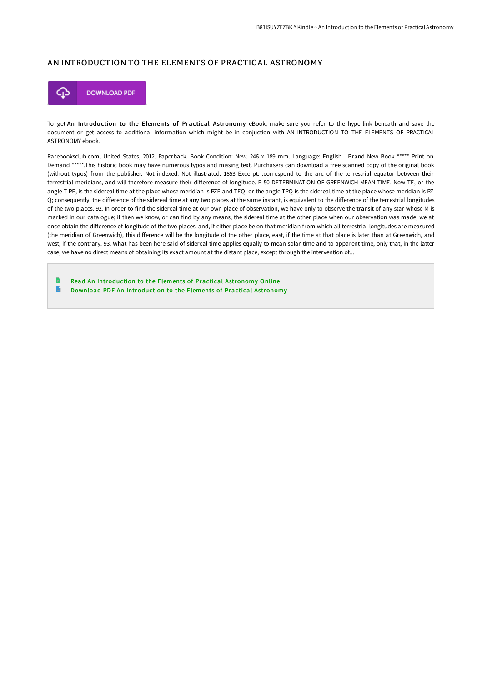## AN INTRODUCTION TO THE ELEMENTS OF PRACTICAL ASTRONOMY



To get An Introduction to the Elements of Practical Astronomy eBook, make sure you refer to the hyperlink beneath and save the document or get access to additional information which might be in conjuction with AN INTRODUCTION TO THE ELEMENTS OF PRACTICAL ASTRONOMY ebook.

Rarebooksclub.com, United States, 2012. Paperback. Book Condition: New. 246 x 189 mm. Language: English . Brand New Book \*\*\*\*\* Print on Demand \*\*\*\*\*.This historic book may have numerous typos and missing text. Purchasers can download a free scanned copy of the original book (without typos) from the publisher. Not indexed. Not illustrated. 1853 Excerpt: .correspond to the arc of the terrestrial equator between their terrestrial meridians, and will therefore measure their diFerence of longitude. E 50 DETERMINATION OF GREENWICH MEAN TIME. Now TE, or the angle T PE, is the sidereal time at the place whose meridian is PZE and TEQ, or the angle TPQ is the sidereal time at the place whose meridian is PZ Q; consequently, the diFerence of the sidereal time at any two places at the same instant, is equivalent to the diFerence of the terrestrial longitudes of the two places. 92. In order to find the sidereal time at our own place of observation, we have only to observe the transit of any star whose M is marked in our catalogue; if then we know, or can find by any means, the sidereal time at the other place when our observation was made, we at once obtain the diFerence of longitude of the two places; and, if either place be on that meridian from which all terrestrial longitudes are measured (the meridian of Greenwich), this diFerence will be the longitude of the other place, east, if the time at that place is later than at Greenwich, and west, if the contrary. 93. What has been here said of sidereal time applies equally to mean solar time and to apparent time, only that, in the latter case, we have no direct means of obtaining its exact amount at the distant place, except through the intervention of...

Read An [Introduction](http://www.bookdirs.com/an-introduction-to-the-elements-of-practical-ast.html) to the Elements of Practical Astronomy Online  $\blacksquare$ Download PDF An [Introduction](http://www.bookdirs.com/an-introduction-to-the-elements-of-practical-ast.html) to the Elements of Practical Astronomy